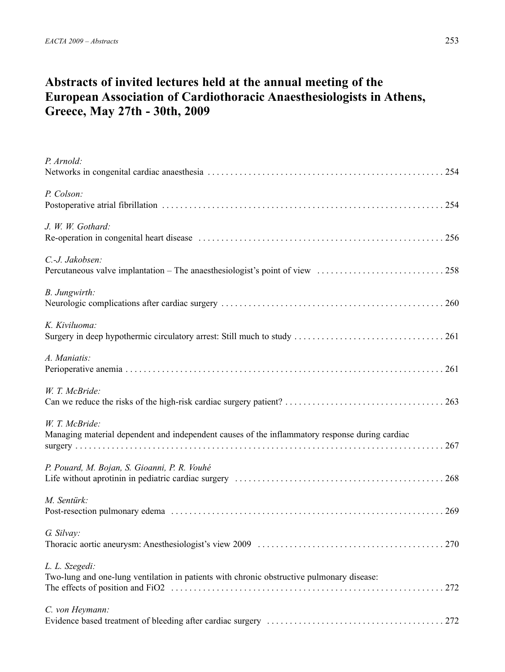# **Abstracts of invited lectures held at the annual meeting of the European Association of Cardiothoracic Anaesthesiologists in Athens, Greece, May 27th - 30th, 2009**

| P. Arnold:                                                                                                       |
|------------------------------------------------------------------------------------------------------------------|
| P. Colson:                                                                                                       |
| J. W. W. Gothard:                                                                                                |
| C.-J. Jakobsen:                                                                                                  |
| B. Jungwirth:                                                                                                    |
| K. Kiviluoma:                                                                                                    |
| A. Maniatis:                                                                                                     |
| W. T. McBride:                                                                                                   |
| W. T. McBride:<br>Managing material dependent and independent causes of the inflammatory response during cardiac |
| P. Pouard, M. Bojan, S. Gioanni, P. R. Vouhé                                                                     |
| M. Sentürk:                                                                                                      |
| G. Silvay:                                                                                                       |
| L. L. Szegedi:<br>Two-lung and one-lung ventilation in patients with chronic obstructive pulmonary disease:      |
| C. von Heymann:                                                                                                  |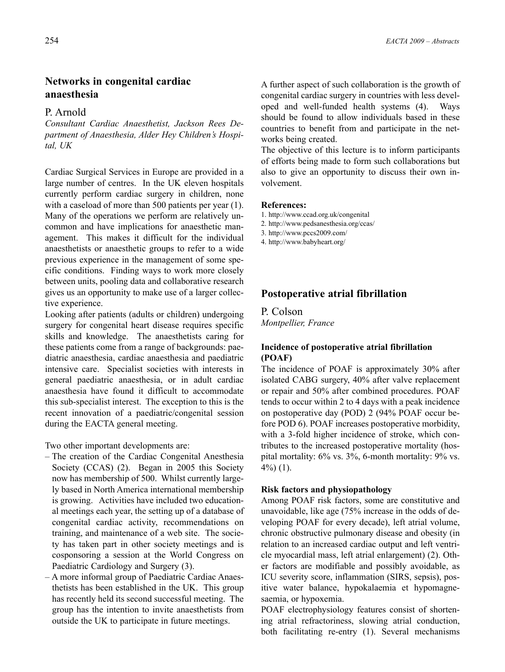## **Networks in congenital cardiac anaesthesia**

## P. Arnold

*Consultant Cardiac Anaesthetist, Jackson Rees Department of Anaesthesia, Alder Hey Children's Hospital, UK*

Cardiac Surgical Services in Europe are provided in a large number of centres. In the UK eleven hospitals currently perform cardiac surgery in children, none with a caseload of more than 500 patients per year (1). Many of the operations we perform are relatively uncommon and have implications for anaesthetic management. This makes it difficult for the individual anaesthetists or anaesthetic groups to refer to a wide previous experience in the management of some specific conditions. Finding ways to work more closely between units, pooling data and collaborative research gives us an opportunity to make use of a larger collective experience.

Looking after patients (adults or children) undergoing surgery for congenital heart disease requires specific skills and knowledge. The anaesthetists caring for these patients come from a range of backgrounds: paediatric anaesthesia, cardiac anaesthesia and paediatric intensive care. Specialist societies with interests in general paediatric anaesthesia, or in adult cardiac anaesthesia have found it difficult to accommodate this sub-specialist interest. The exception to this is the recent innovation of a paediatric/congenital session during the EACTA general meeting.

Two other important developments are:

- The creation of the Cardiac Congenital Anesthesia Society (CCAS) (2). Began in 2005 this Society now has membership of 500. Whilst currently largely based in North America international membership is growing. Activities have included two educational meetings each year, the setting up of a database of congenital cardiac activity, recommendations on training, and maintenance of a web site. The society has taken part in other society meetings and is cosponsoring a session at the World Congress on Paediatric Cardiology and Surgery (3).
- A more informal group of Paediatric Cardiac Anaesthetists has been established in the UK. This group has recently held its second successful meeting. The group has the intention to invite anaesthetists from outside the UK to participate in future meetings.

A further aspect of such collaboration is the growth of congenital cardiac surgery in countries with less developed and well-funded health systems (4). Ways should be found to allow individuals based in these countries to benefit from and participate in the networks being created.

The objective of this lecture is to inform participants of efforts being made to form such collaborations but also to give an opportunity to discuss their own involvement.

## **References:**

- 1. http://www.ccad.org.uk/congenital
- 2. http://www.pedsanesthesia.org/ccas/
- 3. http://www.pccs2009.com/
- 4. http://www.babyheart.org/

## **Postoperative atrial fibrillation**

P. Colson *Montpellier, France*

## **Incidence of postoperative atrial fibrillation (POAF)**

The incidence of POAF is approximately 30% after isolated CABG surgery, 40% after valve replacement or repair and 50% after combined procedures. POAF tends to occur within 2 to 4 days with a peak incidence on postoperative day (POD) 2 (94% POAF occur before POD 6). POAF increases postoperative morbidity, with a 3-fold higher incidence of stroke, which contributes to the increased postoperative mortality (hospital mortality: 6% vs. 3%, 6-month mortality: 9% vs. 4%) (1).

### **Risk factors and physiopathology**

Among POAF risk factors, some are constitutive and unavoidable, like age (75% increase in the odds of developing POAF for every decade), left atrial volume, chronic obstructive pulmonary disease and obesity (in relation to an increased cardiac output and left ventricle myocardial mass, left atrial enlargement) (2). Other factors are modifiable and possibly avoidable, as ICU severity score, inflammation (SIRS, sepsis), positive water balance, hypokalaemia et hypomagnesaemia, or hypoxemia.

POAF electrophysiology features consist of shortening atrial refractoriness, slowing atrial conduction, both facilitating re-entry (1). Several mechanisms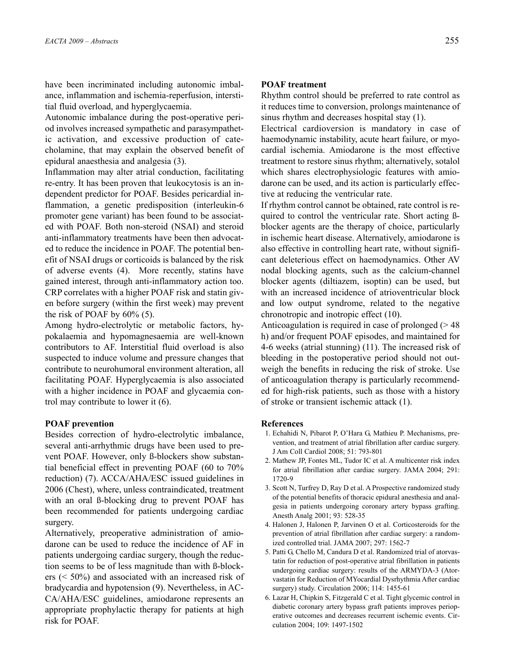have been incriminated including autonomic imbalance, inflammation and ischemia-reperfusion, interstitial fluid overload, and hyperglycaemia.

Autonomic imbalance during the post-operative period involves increased sympathetic and parasympathetic activation, and excessive production of catecholamine, that may explain the observed benefit of epidural anaesthesia and analgesia (3).

Inflammation may alter atrial conduction, facilitating re-entry. It has been proven that leukocytosis is an independent predictor for POAF. Besides pericardial inflammation, a genetic predisposition (interleukin-6 promoter gene variant) has been found to be associated with POAF. Both non-steroid (NSAI) and steroid anti-inflammatory treatments have been then advocated to reduce the incidence in POAF. The potential benefit of NSAI drugs or corticoids is balanced by the risk of adverse events (4). More recently, statins have gained interest, through anti-inflammatory action too. CRP correlates with a higher POAF risk and statin given before surgery (within the first week) may prevent the risk of POAF by 60% (5).

Among hydro-electrolytic or metabolic factors, hypokalaemia and hypomagnesaemia are well-known contributors to AF. Interstitial fluid overload is also suspected to induce volume and pressure changes that contribute to neurohumoral environment alteration, all facilitating POAF. Hyperglycaemia is also associated with a higher incidence in POAF and glycaemia control may contribute to lower it (6).

### **POAF prevention**

Besides correction of hydro-electrolytic imbalance, several anti-arrhythmic drugs have been used to prevent POAF. However, only ß-blockers show substantial beneficial effect in preventing POAF (60 to 70% reduction) (7). ACCA/AHA/ESC issued guidelines in 2006 (Chest), where, unless contraindicated, treatment with an oral ß-blocking drug to prevent POAF has been recommended for patients undergoing cardiac surgery.

Alternatively, preoperative administration of amiodarone can be used to reduce the incidence of AF in patients undergoing cardiac surgery, though the reduction seems to be of less magnitude than with ß-blockers (< 50%) and associated with an increased risk of bradycardia and hypotension (9). Nevertheless, in AC-CA/AHA/ESC guidelines, amiodarone represents an appropriate prophylactic therapy for patients at high risk for POAF.

## **POAF treatment**

Rhythm control should be preferred to rate control as it reduces time to conversion, prolongs maintenance of sinus rhythm and decreases hospital stay (1).

Electrical cardioversion is mandatory in case of haemodynamic instability, acute heart failure, or myocardial ischemia. Amiodarone is the most effective treatment to restore sinus rhythm; alternatively, sotalol which shares electrophysiologic features with amiodarone can be used, and its action is particularly effective at reducing the ventricular rate.

If rhythm control cannot be obtained, rate control is required to control the ventricular rate. Short acting ßblocker agents are the therapy of choice, particularly in ischemic heart disease. Alternatively, amiodarone is also effective in controlling heart rate, without significant deleterious effect on haemodynamics. Other AV nodal blocking agents, such as the calcium-channel blocker agents (diltiazem, isoptin) can be used, but with an increased incidence of atrioventricular block and low output syndrome, related to the negative chronotropic and inotropic effect (10).

Anticoagulation is required in case of prolonged  $($  > 48 h) and/or frequent POAF episodes, and maintained for 4-6 weeks (atrial stunning) (11). The increased risk of bleeding in the postoperative period should not outweigh the benefits in reducing the risk of stroke. Use of anticoagulation therapy is particularly recommended for high-risk patients, such as those with a history of stroke or transient ischemic attack (1).

- 1. Echahidi N, Pibarot P, O'Hara G, Mathieu P. Mechanisms, prevention, and treatment of atrial fibrillation after cardiac surgery. J Am Coll Cardiol 2008; 51: 793-801
- 2. Mathew JP, Fontes ML, Tudor IC et al. A multicenter risk index for atrial fibrillation after cardiac surgery. JAMA 2004; 291: 1720-9
- 3. Scott N, Turfrey D, Ray D et al. A Prospective randomized study of the potential benefits of thoracic epidural anesthesia and analgesia in patients undergoing coronary artery bypass grafting. Anesth Analg 2001; 93: 528-35
- 4. Halonen J, Halonen P, Jarvinen O et al. Corticosteroids for the prevention of atrial fibrillation after cardiac surgery: a randomized controlled trial. JAMA 2007; 297: 1562-7
- 5. Patti G, Chello M, Candura D et al. Randomized trial of atorvastatin for reduction of post-operative atrial fibrillation in patients undergoing cardiac surgery: results of the ARMYDA-3 (Atorvastatin for Reduction of MYocardial Dysrhythmia After cardiac surgery) study. Circulation 2006; 114: 1455-61
- 6. Lazar H, Chipkin S, Fitzgerald C et al. Tight glycemic control in diabetic coronary artery bypass graft patients improves perioperative outcomes and decreases recurrent ischemic events. Circulation 2004; 109: 1497-1502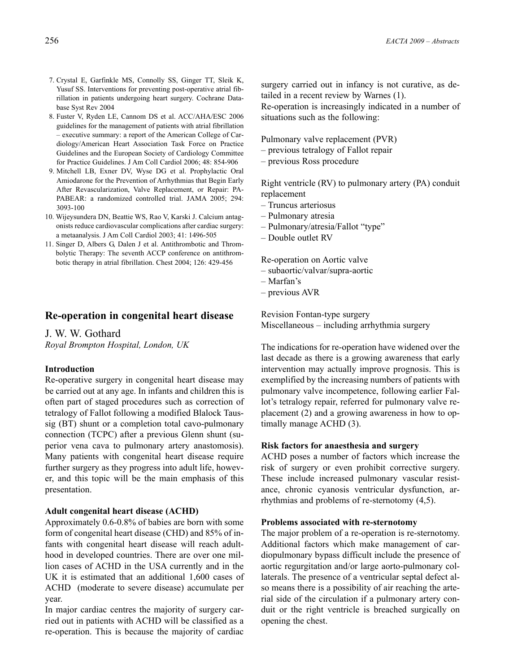- 7. Crystal E, Garfinkle MS, Connolly SS, Ginger TT, Sleik K, Yusuf SS. Interventions for preventing post-operative atrial fibrillation in patients undergoing heart surgery. Cochrane Database Syst Rev 2004
- 8. Fuster V, Ryden LE, Cannom DS et al. ACC/AHA/ESC 2006 guidelines for the management of patients with atrial fibrillation – executive summary: a report of the American College of Cardiology/American Heart Association Task Force on Practice Guidelines and the European Society of Cardiology Committee for Practice Guidelines. J Am Coll Cardiol 2006; 48: 854-906
- 9. Mitchell LB, Exner DV, Wyse DG et al. Prophylactic Oral Amiodarone for the Prevention of Arrhythmias that Begin Early After Revascularization, Valve Replacement, or Repair: PA-PABEAR: a randomized controlled trial. JAMA 2005; 294: 3093-100
- 10. Wijeysundera DN, Beattie WS, Rao V, Karski J. Calcium antagonists reduce cardiovascular complications after cardiac surgery: a metaanalysis. J Am Coll Cardiol 2003; 41: 1496-505
- 11. Singer D, Albers G, Dalen J et al. Antithrombotic and Thrombolytic Therapy: The seventh ACCP conference on antithrombotic therapy in atrial fibrillation. Chest 2004; 126: 429-456

## **Re-operation in congenital heart disease**

J. W. W. Gothard *Royal Brompton Hospital, London, UK*

### **Introduction**

Re-operative surgery in congenital heart disease may be carried out at any age. In infants and children this is often part of staged procedures such as correction of tetralogy of Fallot following a modified Blalock Taussig (BT) shunt or a completion total cavo-pulmonary connection (TCPC) after a previous Glenn shunt (superior vena cava to pulmonary artery anastomosis). Many patients with congenital heart disease require further surgery as they progress into adult life, however, and this topic will be the main emphasis of this presentation.

## **Adult congenital heart disease (ACHD)**

Approximately 0.6-0.8% of babies are born with some form of congenital heart disease (CHD) and 85% of infants with congenital heart disease will reach adulthood in developed countries. There are over one million cases of ACHD in the USA currently and in the UK it is estimated that an additional 1,600 cases of ACHD (moderate to severe disease) accumulate per year.

In major cardiac centres the majority of surgery carried out in patients with ACHD will be classified as a re-operation. This is because the majority of cardiac

surgery carried out in infancy is not curative, as detailed in a recent review by Warnes (1).

Re-operation is increasingly indicated in a number of situations such as the following:

Pulmonary valve replacement (PVR)

- previous tetralogy of Fallot repair
- previous Ross procedure

Right ventricle (RV) to pulmonary artery (PA) conduit replacement

- Truncus arteriosus
- Pulmonary atresia
- Pulmonary/atresia/Fallot "type"
- Double outlet RV

Re-operation on Aortic valve

- subaortic/valvar/supra-aortic
- Marfan's
- previous AVR

Revision Fontan-type surgery Miscellaneous – including arrhythmia surgery

The indications for re-operation have widened over the last decade as there is a growing awareness that early intervention may actually improve prognosis. This is exemplified by the increasing numbers of patients with pulmonary valve incompetence, following earlier Fallot's tetralogy repair, referred for pulmonary valve replacement (2) and a growing awareness in how to optimally manage ACHD (3).

### **Risk factors for anaesthesia and surgery**

ACHD poses a number of factors which increase the risk of surgery or even prohibit corrective surgery. These include increased pulmonary vascular resistance, chronic cyanosis ventricular dysfunction, arrhythmias and problems of re-sternotomy (4,5).

### **Problems associated with re-sternotomy**

The major problem of a re-operation is re-sternotomy. Additional factors which make management of cardiopulmonary bypass difficult include the presence of aortic regurgitation and/or large aorto-pulmonary collaterals. The presence of a ventricular septal defect also means there is a possibility of air reaching the arterial side of the circulation if a pulmonary artery conduit or the right ventricle is breached surgically on opening the chest.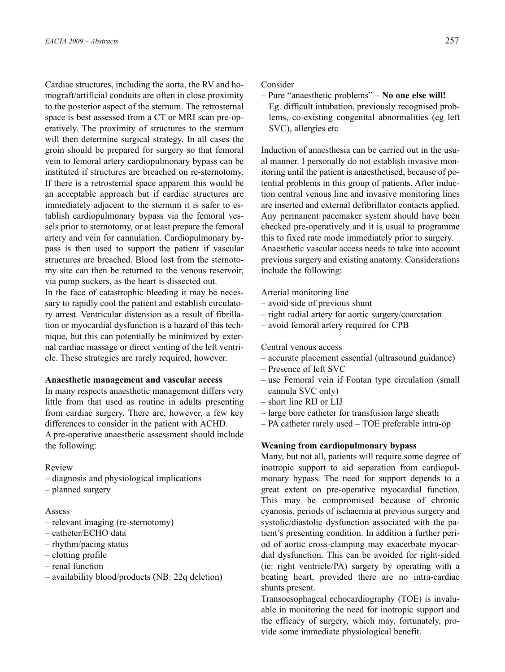Cardiac structures, including the aorta, the RV and homograft/artificial conduits are often in close proximity to the posterior aspect of the sternum. The retrosternal space is best assessed from a CT or MRI scan pre-operatively. The proximity of structures to the sternum will then determine surgical strategy. In all cases the groin should be prepared for surgery so that femoral vein to femoral artery cardiopulmonary bypass can be instituted if structures are breached on re-sternotomy. If there is a retrosternal space apparent this would be an acceptable approach but if cardiac structures are immediately adjacent to the sternum it is safer to establish cardiopulmonary bypass via the femoral vessels prior to sternotomy, or at least prepare the femoral artery and vein for cannulation. Cardiopulmonary bypass is then used to support the patient if vascular structures are breached. Blood lost from the sternotomy site can then be returned to the venous reservoir, via pump suckers, as the heart is dissected out.

In the face of catastrophic bleeding it may be necessary to rapidly cool the patient and establish circulatory arrest. Ventricular distension as a result of fibrillation or myocardial dysfunction is a hazard of this technique, but this can potentially be minimized by external cardiac massage or direct venting of the left ventricle. These strategies are rarely required, however.

### **Anaesthetic management and vascular access**

In many respects anaesthetic management differs very little from that used as routine in adults presenting from cardiac surgery. There are, however, a few key differences to consider in the patient with ACHD. A pre-operative anaesthetic assessment should include the following:

Review

- diagnosis and physiological implications
- planned surgery

## Assess

- relevant imaging (re-sternotomy)
- catheter/ECHO data
- rhythm/pacing status
- clotting profile
- renal function
- availability blood/products (NB: 22q deletion)

#### Consider

– Pure "anaesthetic problems" – **No one else will!** Eg. difficult intubation, previously recognised problems, co-existing congenital abnormalities (eg left SVC), allergies etc

Induction of anaesthesia can be carried out in the usual manner. I personally do not establish invasive monitoring until the patient is anaesthetised, because of potential problems in this group of patients. After induction central venous line and invasive monitoring lines are inserted and external defibrillator contacts applied. Any permanent pacemaker system should have been checked pre-operatively and it is usual to programme this to fixed rate mode immediately prior to surgery. Anaesthetic vascular access needs to take into account previous surgery and existing anatomy. Considerations include the following:

Arterial monitoring line

- avoid side of previous shunt
- right radial artery for aortic surgery/coarctation
- avoid femoral artery required for CPB

### Central venous access

- accurate placement essential (ultrasound guidance)
- Presence of left SVC
- use Femoral vein if Fontan type circulation (small cannula SVC only)
- short line RIJ or LIJ
- large bore catheter for transfusion large sheath
- PA catheter rarely used TOE preferable intra-op

#### **Weaning from cardiopulmonary bypass**

Many, but not all, patients will require some degree of inotropic support to aid separation from cardiopulmonary bypass. The need for support depends to a great extent on pre-operative myocardial function. This may be compromised because of chronic cyanosis, periods of ischaemia at previous surgery and systolic/diastolic dysfunction associated with the patient's presenting condition. In addition a further period of aortic cross-clamping may exacerbate myocardial dysfunction. This can be avoided for right-sided (ie: right ventricle/PA) surgery by operating with a beating heart, provided there are no intra-cardiac shunts present.

Transoesophageal echocardiography (TOE) is invaluable in monitoring the need for inotropic support and the efficacy of surgery, which may, fortunately, provide some immediate physiological benefit.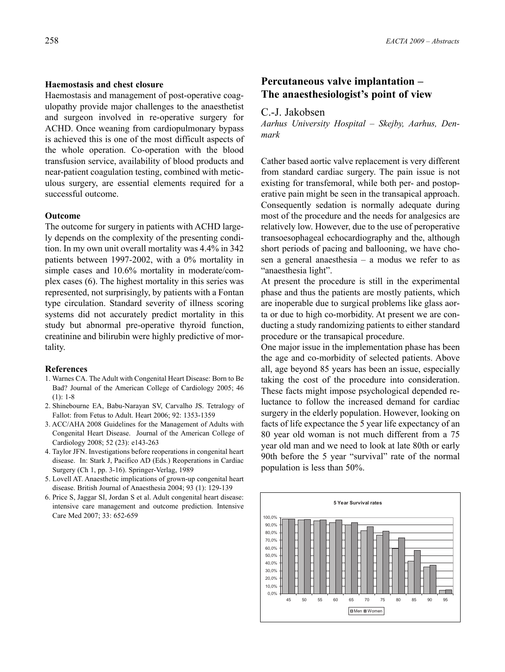Haemostasis and management of post-operative coagulopathy provide major challenges to the anaesthetist and surgeon involved in re-operative surgery for ACHD. Once weaning from cardiopulmonary bypass is achieved this is one of the most difficult aspects of the whole operation. Co-operation with the blood transfusion service, availability of blood products and near-patient coagulation testing, combined with meticulous surgery, are essential elements required for a successful outcome.

### **Outcome**

The outcome for surgery in patients with ACHD largely depends on the complexity of the presenting condition. In my own unit overall mortality was 4.4% in 342 patients between 1997-2002, with a 0% mortality in simple cases and 10.6% mortality in moderate/complex cases (6). The highest mortality in this series was represented, not surprisingly, by patients with a Fontan type circulation. Standard severity of illness scoring systems did not accurately predict mortality in this study but abnormal pre-operative thyroid function, creatinine and bilirubin were highly predictive of mortality.

#### **References**

- 1. Warnes CA. The Adult with Congenital Heart Disease: Born to Be Bad? Journal of the American College of Cardiology 2005; 46 (1): 1-8
- 2. Shinebourne EA, Babu-Narayan SV, Carvalho JS. Tetralogy of Fallot: from Fetus to Adult. Heart 2006; 92: 1353-1359
- 3. ACC/AHA 2008 Guidelines for the Management of Adults with Congenital Heart Disease. Journal of the American College of Cardiology 2008; 52 (23): e143-263
- 4. Taylor JFN. Investigations before reoperations in congenital heart disease. In: Stark J, Pacifico AD (Eds.) Reoperations in Cardiac Surgery (Ch 1, pp. 3-16). Springer-Verlag, 1989
- 5. Lovell AT. Anaesthetic implications of grown-up congenital heart disease. British Journal of Anaesthesia 2004; 93 (1): 129-139
- 6. Price S, Jaggar SI, Jordan S et al. Adult congenital heart disease: intensive care management and outcome prediction. Intensive Care Med 2007; 33: 652-659

## **Percutaneous valve implantation – The anaesthesiologist's point of view**

## C.-J. Jakobsen

*Aarhus University Hospital – Skejby, Aarhus, Denmark*

Cather based aortic valve replacement is very different from standard cardiac surgery. The pain issue is not existing for transfemoral, while both per- and postoperative pain might be seen in the transapical approach. Consequently sedation is normally adequate during most of the procedure and the needs for analgesics are relatively low. However, due to the use of peroperative transoesophageal echocardiography and the, although short periods of pacing and ballooning, we have chosen a general anaesthesia – a modus we refer to as "anaesthesia light".

At present the procedure is still in the experimental phase and thus the patients are mostly patients, which are inoperable due to surgical problems like glass aorta or due to high co-morbidity. At present we are conducting a study randomizing patients to either standard procedure or the transapical procedure.

One major issue in the implementation phase has been the age and co-morbidity of selected patients. Above all, age beyond 85 years has been an issue, especially taking the cost of the procedure into consideration. These facts might impose psychological depended reluctance to follow the increased demand for cardiac surgery in the elderly population. However, looking on facts of life expectance the 5 year life expectancy of an 80 year old woman is not much different from a 75 year old man and we need to look at late 80th or early 90th before the 5 year "survival" rate of the normal population is less than 50%.

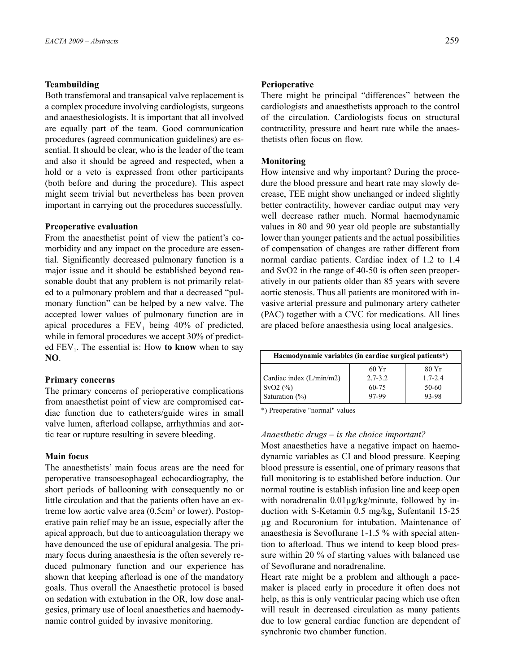## **Teambuilding**

Both transfemoral and transapical valve replacement is a complex procedure involving cardiologists, surgeons and anaesthesiologists. It is important that all involved are equally part of the team. Good communication procedures (agreed communication guidelines) are essential. It should be clear, who is the leader of the team and also it should be agreed and respected, when a hold or a veto is expressed from other participants (both before and during the procedure). This aspect might seem trivial but nevertheless has been proven important in carrying out the procedures successfully.

### **Preoperative evaluation**

From the anaesthetist point of view the patient's comorbidity and any impact on the procedure are essential. Significantly decreased pulmonary function is a major issue and it should be established beyond reasonable doubt that any problem is not primarily related to a pulmonary problem and that a decreased "pulmonary function" can be helped by a new valve. The accepted lower values of pulmonary function are in apical procedures a  $FEV<sub>1</sub>$  being 40% of predicted, while in femoral procedures we accept 30% of predicted  $FEV<sub>1</sub>$ . The essential is: How **to know** when to say **NO**.

### **Primary concerns**

The primary concerns of perioperative complications from anaesthetist point of view are compromised cardiac function due to catheters/guide wires in small valve lumen, afterload collapse, arrhythmias and aortic tear or rupture resulting in severe bleeding.

### **Main focus**

The anaesthetists' main focus areas are the need for peroperative transoesophageal echocardiography, the short periods of ballooning with consequently no or little circulation and that the patients often have an extreme low aortic valve area (0.5cm<sup>2</sup> or lower). Postoperative pain relief may be an issue, especially after the apical approach, but due to anticoagulation therapy we have denounced the use of epidural analgesia. The primary focus during anaesthesia is the often severely reduced pulmonary function and our experience has shown that keeping afterload is one of the mandatory goals. Thus overall the Anaesthetic protocol is based on sedation with extubation in the OR, low dose analgesics, primary use of local anaesthetics and haemodynamic control guided by invasive monitoring.

### **Perioperative**

There might be principal "differences" between the cardiologists and anaesthetists approach to the control of the circulation. Cardiologists focus on structural contractility, pressure and heart rate while the anaesthetists often focus on flow.

#### **Monitoring**

How intensive and why important? During the procedure the blood pressure and heart rate may slowly decrease, TEE might show unchanged or indeed slightly better contractility, however cardiac output may very well decrease rather much. Normal haemodynamic values in 80 and 90 year old people are substantially lower than younger patients and the actual possibilities of compensation of changes are rather different from normal cardiac patients. Cardiac index of 1.2 to 1.4 and SvO2 in the range of 40-50 is often seen preoperatively in our patients older than 85 years with severe aortic stenosis. Thus all patients are monitored with invasive arterial pressure and pulmonary artery catheter (PAC) together with a CVC for medications. All lines are placed before anaesthesia using local analgesics.

| Haemodynamic variables (in cardiac surgical patients*) |             |             |  |
|--------------------------------------------------------|-------------|-------------|--|
|                                                        | 60Yr        | 80 Yr       |  |
| Cardiac index $(L/min/m2)$                             | $2.7 - 3.2$ | $1.7 - 2.4$ |  |
| $SVO2(\%)$                                             | 60-75       | 50-60       |  |
| Saturation $(\%)$                                      | 97-99       | 93-98       |  |

\*) Preoperative "normal" values

## *Anaesthetic drugs – is the choice important?*

Most anaesthetics have a negative impact on haemodynamic variables as CI and blood pressure. Keeping blood pressure is essential, one of primary reasons that full monitoring is to established before induction. Our normal routine is establish infusion line and keep open with noradrenalin  $0.01\mu g/kg/minute$ , followed by induction with S-Ketamin 0.5 mg/kg, Sufentanil 15-25 µg and Rocuronium for intubation. Maintenance of anaesthesia is Sevoflurane 1-1.5 % with special attention to afterload. Thus we intend to keep blood pressure within 20 % of starting values with balanced use of Sevoflurane and noradrenaline.

Heart rate might be a problem and although a pacemaker is placed early in procedure it often does not help, as this is only ventricular pacing which use often will result in decreased circulation as many patients due to low general cardiac function are dependent of synchronic two chamber function.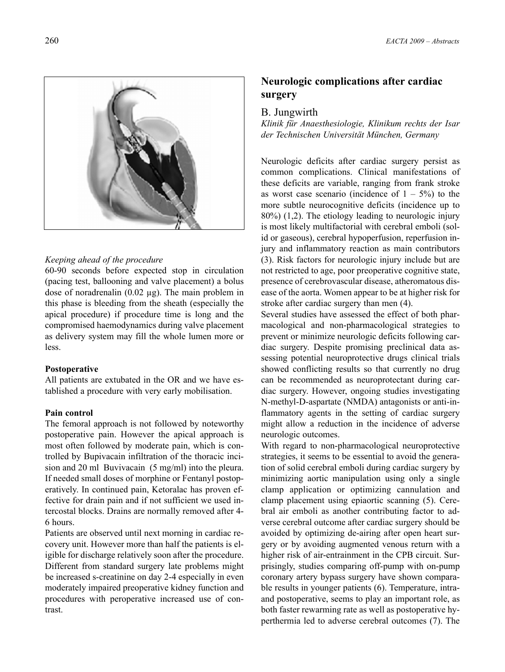

### *Keeping ahead of the procedure*

60-90 seconds before expected stop in circulation (pacing test, ballooning and valve placement) a bolus dose of noradrenalin  $(0.02 \mu g)$ . The main problem in this phase is bleeding from the sheath (especially the apical procedure) if procedure time is long and the compromised haemodynamics during valve placement as delivery system may fill the whole lumen more or less.

## **Postoperative**

All patients are extubated in the OR and we have established a procedure with very early mobilisation.

## **Pain control**

The femoral approach is not followed by noteworthy postoperative pain. However the apical approach is most often followed by moderate pain, which is controlled by Bupivacain infiltration of the thoracic incision and 20 ml Buvivacain (5 mg/ml) into the pleura. If needed small doses of morphine or Fentanyl postoperatively. In continued pain, Ketoralac has proven effective for drain pain and if not sufficient we used intercostal blocks. Drains are normally removed after 4- 6 hours.

Patients are observed until next morning in cardiac recovery unit. However more than half the patients is eligible for discharge relatively soon after the procedure. Different from standard surgery late problems might be increased s-creatinine on day 2-4 especially in even moderately impaired preoperative kidney function and procedures with peroperative increased use of contrast.

## **Neurologic complications after cardiac surgery**

## B. Jungwirth

*Klinik für Anaesthesiologie, Klinikum rechts der Isar der Technischen Universität München, Germany*

Neurologic deficits after cardiac surgery persist as common complications. Clinical manifestations of these deficits are variable, ranging from frank stroke as worst case scenario (incidence of  $1 - 5\%$ ) to the more subtle neurocognitive deficits (incidence up to 80%) (1,2). The etiology leading to neurologic injury is most likely multifactorial with cerebral emboli (solid or gaseous), cerebral hypoperfusion, reperfusion injury and inflammatory reaction as main contributors (3). Risk factors for neurologic injury include but are not restricted to age, poor preoperative cognitive state, presence of cerebrovascular disease, atheromatous disease of the aorta. Women appear to be at higher risk for stroke after cardiac surgery than men (4).

Several studies have assessed the effect of both pharmacological and non-pharmacological strategies to prevent or minimize neurologic deficits following cardiac surgery. Despite promising preclinical data assessing potential neuroprotective drugs clinical trials showed conflicting results so that currently no drug can be recommended as neuroprotectant during cardiac surgery. However, ongoing studies investigating N-methyl-D-aspartate (NMDA) antagonists or anti-inflammatory agents in the setting of cardiac surgery might allow a reduction in the incidence of adverse neurologic outcomes.

With regard to non-pharmacological neuroprotective strategies, it seems to be essential to avoid the generation of solid cerebral emboli during cardiac surgery by minimizing aortic manipulation using only a single clamp application or optimizing cannulation and clamp placement using epiaortic scanning (5). Cerebral air emboli as another contributing factor to adverse cerebral outcome after cardiac surgery should be avoided by optimizing de-airing after open heart surgery or by avoiding augmented venous return with a higher risk of air-entrainment in the CPB circuit. Surprisingly, studies comparing off-pump with on-pump coronary artery bypass surgery have shown comparable results in younger patients (6). Temperature, intraand postoperative, seems to play an important role, as both faster rewarming rate as well as postoperative hyperthermia led to adverse cerebral outcomes (7). The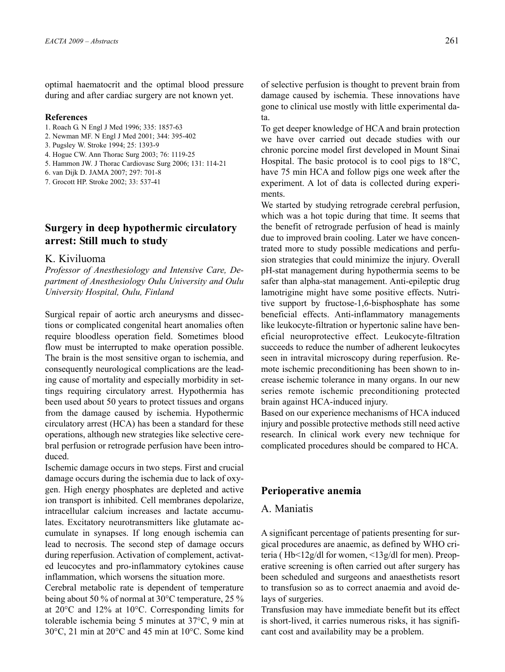optimal haematocrit and the optimal blood pressure during and after cardiac surgery are not known yet.

### **References**

- 1. Roach G. N Engl J Med 1996; 335: 1857-63
- 2. Newman MF. N Engl J Med 2001; 344: 395-402
- 3. Pugsley W. Stroke 1994; 25: 1393-9
- 4. Hogue CW. Ann Thorac Surg 2003; 76: 1119-25
- 5. Hammon JW. J Thorac Cardiovasc Surg 2006; 131: 114-21
- 6. van Dijk D. JAMA 2007; 297: 701-8
- 7. Grocott HP. Stroke 2002; 33: 537-41

## **Surgery in deep hypothermic circulatory arrest: Still much to study**

## K. Kiviluoma

*Professor of Anesthesiology and Intensive Care, Department of Anesthesiology Oulu University and Oulu University Hospital, Oulu, Finland*

Surgical repair of aortic arch aneurysms and dissections or complicated congenital heart anomalies often require bloodless operation field. Sometimes blood flow must be interrupted to make operation possible. The brain is the most sensitive organ to ischemia, and consequently neurological complications are the leading cause of mortality and especially morbidity in settings requiring circulatory arrest. Hypothermia has been used about 50 years to protect tissues and organs from the damage caused by ischemia. Hypothermic circulatory arrest (HCA) has been a standard for these operations, although new strategies like selective cerebral perfusion or retrograde perfusion have been introduced.

Ischemic damage occurs in two steps. First and crucial damage occurs during the ischemia due to lack of oxygen. High energy phosphates are depleted and active ion transport is inhibited. Cell membranes depolarize, intracellular calcium increases and lactate accumulates. Excitatory neurotransmitters like glutamate accumulate in synapses. If long enough ischemia can lead to necrosis. The second step of damage occurs during reperfusion. Activation of complement, activated leucocytes and pro-inflammatory cytokines cause inflammation, which worsens the situation more.

Cerebral metabolic rate is dependent of temperature being about 50 % of normal at 30°C temperature, 25 % at 20°C and 12% at 10°C. Corresponding limits for tolerable ischemia being 5 minutes at 37°C, 9 min at 30°C, 21 min at 20°C and 45 min at 10°C. Some kind

of selective perfusion is thought to prevent brain from damage caused by ischemia. These innovations have gone to clinical use mostly with little experimental data.

To get deeper knowledge of HCA and brain protection we have over carried out decade studies with our chronic porcine model first developed in Mount Sinai Hospital. The basic protocol is to cool pigs to 18°C, have 75 min HCA and follow pigs one week after the experiment. A lot of data is collected during experiments.

We started by studying retrograde cerebral perfusion, which was a hot topic during that time. It seems that the benefit of retrograde perfusion of head is mainly due to improved brain cooling. Later we have concentrated more to study possible medications and perfusion strategies that could minimize the injury. Overall pH-stat management during hypothermia seems to be safer than alpha-stat management. Anti-epileptic drug lamotrigine might have some positive effects. Nutritive support by fructose-1,6-bisphosphate has some beneficial effects. Anti-inflammatory managements like leukocyte-filtration or hypertonic saline have beneficial neuroprotective effect. Leukocyte-filtration succeeds to reduce the number of adherent leukocytes seen in intravital microscopy during reperfusion. Remote ischemic preconditioning has been shown to increase ischemic tolerance in many organs. In our new series remote ischemic preconditioning protected brain against HCA-induced injury.

Based on our experience mechanisms of HCA induced injury and possible protective methods still need active research. In clinical work every new technique for complicated procedures should be compared to HCA.

## **Perioperative anemia**

## A. Maniatis

A significant percentage of patients presenting for surgical procedures are anaemic, as defined by WHO criteria ( Hb<12g/dl for women, <13g/dl for men). Preoperative screening is often carried out after surgery has been scheduled and surgeons and anaesthetists resort to transfusion so as to correct anaemia and avoid delays of surgeries.

Transfusion may have immediate benefit but its effect is short-lived, it carries numerous risks, it has significant cost and availability may be a problem.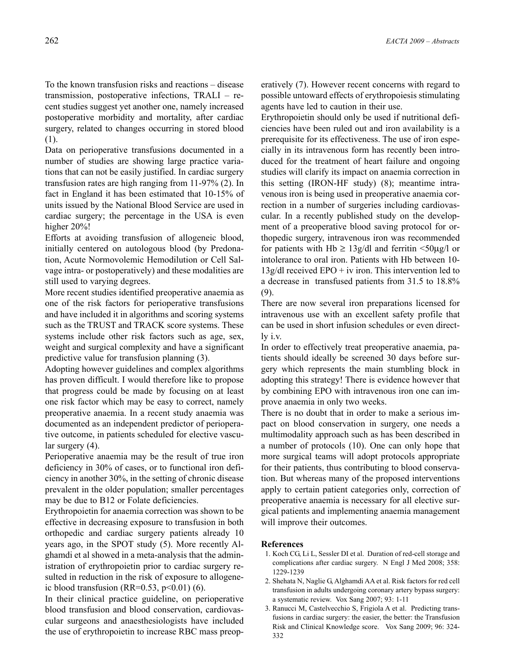To the known transfusion risks and reactions – disease transmission, postoperative infections, TRALI – recent studies suggest yet another one, namely increased postoperative morbidity and mortality, after cardiac surgery, related to changes occurring in stored blood (1).

Data on perioperative transfusions documented in a number of studies are showing large practice variations that can not be easily justified. In cardiac surgery transfusion rates are high ranging from 11-97% (2). In fact in England it has been estimated that 10-15% of units issued by the National Blood Service are used in cardiac surgery; the percentage in the USA is even higher 20%!

Efforts at avoiding transfusion of allogeneic blood, initially centered on autologous blood (by Predonation, Acute Normovolemic Hemodilution or Cell Salvage intra- or postoperatively) and these modalities are still used to varying degrees.

More recent studies identified preoperative anaemia as one of the risk factors for perioperative transfusions and have included it in algorithms and scoring systems such as the TRUST and TRACK score systems. These systems include other risk factors such as age, sex, weight and surgical complexity and have a significant predictive value for transfusion planning (3).

Adopting however guidelines and complex algorithms has proven difficult. I would therefore like to propose that progress could be made by focusing on at least one risk factor which may be easy to correct, namely preoperative anaemia. In a recent study anaemia was documented as an independent predictor of perioperative outcome, in patients scheduled for elective vascular surgery (4).

Perioperative anaemia may be the result of true iron deficiency in 30% of cases, or to functional iron deficiency in another 30%, in the setting of chronic disease prevalent in the older population; smaller percentages may be due to B12 or Folate deficiencies.

Erythropoietin for anaemia correction was shown to be effective in decreasing exposure to transfusion in both orthopedic and cardiac surgery patients already 10 years ago, in the SPOT study (5). More recently Alghamdi et al showed in a meta-analysis that the administration of erythropoietin prior to cardiac surgery resulted in reduction in the risk of exposure to allogeneic blood transfusion (RR= $0.53$ , p< $0.01$ ) (6).

In their clinical practice guideline, on perioperative blood transfusion and blood conservation, cardiovascular surgeons and anaesthesiologists have included the use of erythropoietin to increase RBC mass preoperatively (7). However recent concerns with regard to possible untoward effects of erythropoiesis stimulating agents have led to caution in their use.

Erythropoietin should only be used if nutritional deficiencies have been ruled out and iron availability is a prerequisite for its effectiveness. The use of iron especially in its intravenous form has recently been introduced for the treatment of heart failure and ongoing studies will clarify its impact on anaemia correction in this setting (IRON-HF study) (8); meantime intravenous iron is being used in preoperative anaemia correction in a number of surgeries including cardiovascular. In a recently published study on the development of a preoperative blood saving protocol for orthopedic surgery, intravenous iron was recommended for patients with Hb  $\geq$  13g/dl and ferritin <50µg/l or intolerance to oral iron. Patients with Hb between 10-  $13g/dl$  received EPO + iv iron. This intervention led to a decrease in transfused patients from 31.5 to 18.8% (9).

There are now several iron preparations licensed for intravenous use with an excellent safety profile that can be used in short infusion schedules or even directly i.v.

In order to effectively treat preoperative anaemia, patients should ideally be screened 30 days before surgery which represents the main stumbling block in adopting this strategy! There is evidence however that by combining EPO with intravenous iron one can improve anaemia in only two weeks.

There is no doubt that in order to make a serious impact on blood conservation in surgery, one needs a multimodality approach such as has been described in a number of protocols (10). One can only hope that more surgical teams will adopt protocols appropriate for their patients, thus contributing to blood conservation. But whereas many of the proposed interventions apply to certain patient categories only, correction of preoperative anaemia is necessary for all elective surgical patients and implementing anaemia management will improve their outcomes.

- 1. Koch CG, Li L, Sessler DI et al. Duration of red-cell storage and complications after cardiac surgery. N Engl J Med 2008; 358: 1229-1239
- 2. Shehata N, Naglie G, Alghamdi AA et al. Risk factors for red cell transfusion in adults undergoing coronary artery bypass surgery: a systematic review. Vox Sang 2007; 93: 1-11
- 3. Ranucci M, Castelvecchio S, Frigiola A et al. Predicting transfusions in cardiac surgery: the easier, the better: the Transfusion Risk and Clinical Knowledge score. Vox Sang 2009; 96: 324- 332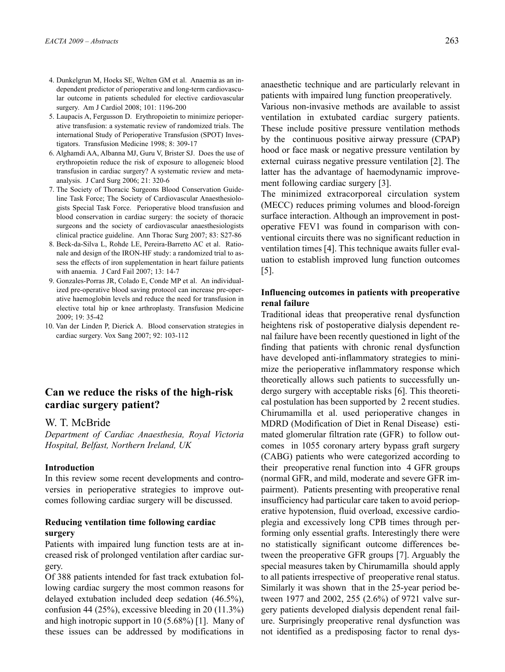- 4. Dunkelgrun M, Hoeks SE, Welten GM et al. Anaemia as an independent predictor of perioperative and long-term cardiovascular outcome in patients scheduled for elective cardiovascular surgery. Am J Cardiol 2008; 101: 1196-200
- 5. Laupacis A, Fergusson D. Erythropoietin to minimize perioperative transfusion: a systematic review of randomized trials. The international Study of Perioperative Transfusion (SPOT) Investigators. Transfusion Medicine 1998; 8: 309-17
- 6. Alghamdi AA, Albanna MJ, Guru V, Brister SJ. Does the use of erythropoietin reduce the risk of exposure to allogeneic blood transfusion in cardiac surgery? A systematic review and metaanalysis. J Card Surg 2006; 21: 320-6
- 7. The Society of Thoracic Surgeons Blood Conservation Guideline Task Force; The Society of Cardiovascular Anaesthesiologists Special Task Force. Perioperative blood transfusion and blood conservation in cardiac surgery: the society of thoracic surgeons and the society of cardiovascular anaesthesiologists clinical practice guideline. Ann Thorac Surg 2007; 83: S27-86
- 8. Beck-da-Silva L, Rohde LE, Pereira-Barretto AC et al. Rationale and design of the IRON-HF study: a randomized trial to assess the effects of iron supplementation in heart failure patients with anaemia. J Card Fail 2007; 13: 14-7
- 9. Gonzales-Porras JR, Colado E, Conde MP et al. An individualized pre-operative blood saving protocol can increase pre-operative haemoglobin levels and reduce the need for transfusion in elective total hip or knee arthroplasty. Transfusion Medicine 2009; 19: 35-42
- 10. Van der Linden P, Dierick A. Blood conservation strategies in cardiac surgery. Vox Sang 2007; 92: 103-112

## **Can we reduce the risks of the high-risk cardiac surgery patient?**

#### W. T. McBride

*Department of Cardiac Anaesthesia, Royal Victoria Hospital, Belfast, Northern Ireland, UK*

#### **Introduction**

In this review some recent developments and controversies in perioperative strategies to improve outcomes following cardiac surgery will be discussed.

## **Reducing ventilation time following cardiac surgery**

Patients with impaired lung function tests are at increased risk of prolonged ventilation after cardiac surgery.

Of 388 patients intended for fast track extubation following cardiac surgery the most common reasons for delayed extubation included deep sedation (46.5%), confusion 44 (25%), excessive bleeding in 20 (11.3%) and high inotropic support in 10 (5.68%) [1]. Many of these issues can be addressed by modifications in

anaesthetic technique and are particularly relevant in patients with impaired lung function preoperatively.

Various non-invasive methods are available to assist ventilation in extubated cardiac surgery patients. These include positive pressure ventilation methods by the continuous positive airway pressure (CPAP) hood or face mask or negative pressure ventilation by external cuirass negative pressure ventilation [2]. The latter has the advantage of haemodynamic improvement following cardiac surgery [3].

The minimized extracorporeal circulation system (MECC) reduces priming volumes and blood-foreign surface interaction. Although an improvement in postoperative FEV1 was found in comparison with conventional circuits there was no significant reduction in ventilation times [4]. This technique awaits fuller evaluation to establish improved lung function outcomes [5].

## **Influencing outcomes in patients with preoperative renal failure**

Traditional ideas that preoperative renal dysfunction heightens risk of postoperative dialysis dependent renal failure have been recently questioned in light of the finding that patients with chronic renal dysfunction have developed anti-inflammatory strategies to minimize the perioperative inflammatory response which theoretically allows such patients to successfully undergo surgery with acceptable risks [6]. This theoretical postulation has been supported by 2 recent studies. Chirumamilla et al. used perioperative changes in MDRD (Modification of Diet in Renal Disease) estimated glomerular filtration rate (GFR) to follow outcomes in 1055 coronary artery bypass graft surgery (CABG) patients who were categorized according to their preoperative renal function into 4 GFR groups (normal GFR, and mild, moderate and severe GFR impairment). Patients presenting with preoperative renal insufficiency had particular care taken to avoid perioperative hypotension, fluid overload, excessive cardioplegia and excessively long CPB times through performing only essential grafts. Interestingly there were no statistically significant outcome differences between the preoperative GFR groups [7]. Arguably the special measures taken by Chirumamilla should apply to all patients irrespective of preoperative renal status. Similarly it was shown that in the 25-year period between 1977 and 2002, 255 (2.6%) of 9721 valve surgery patients developed dialysis dependent renal failure. Surprisingly preoperative renal dysfunction was not identified as a predisposing factor to renal dys-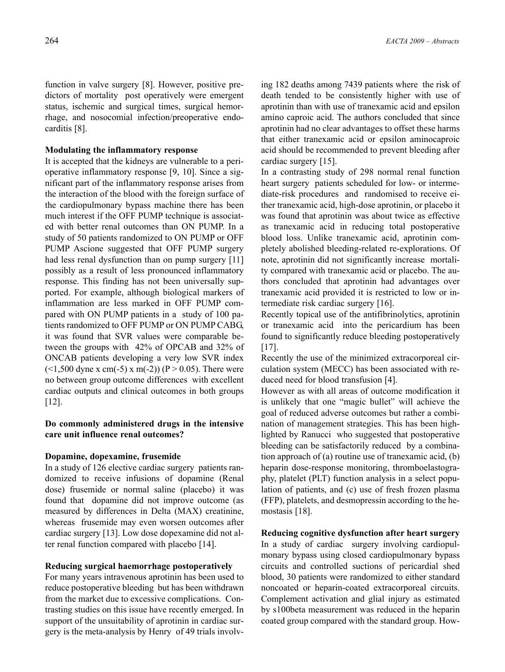function in valve surgery [8]. However, positive predictors of mortality post operatively were emergent status, ischemic and surgical times, surgical hemorrhage, and nosocomial infection/preoperative endocarditis [8].

### **Modulating the inflammatory response**

It is accepted that the kidneys are vulnerable to a perioperative inflammatory response [9, 10]. Since a significant part of the inflammatory response arises from the interaction of the blood with the foreign surface of the cardiopulmonary bypass machine there has been much interest if the OFF PUMP technique is associated with better renal outcomes than ON PUMP. In a study of 50 patients randomized to ON PUMP or OFF PUMP Ascione suggested that OFF PUMP surgery had less renal dysfunction than on pump surgery [11] possibly as a result of less pronounced inflammatory response. This finding has not been universally supported. For example, although biological markers of inflammation are less marked in OFF PUMP compared with ON PUMP patients in a study of 100 patients randomized to OFF PUMP or ON PUMP CABG, it was found that SVR values were comparable between the groups with 42% of OPCAB and 32% of ONCAB patients developing a very low SVR index  $($  <1,500 dyne x cm(-5) x m(-2)) (P > 0.05). There were no between group outcome differences with excellent cardiac outputs and clinical outcomes in both groups [12].

## **Do commonly administered drugs in the intensive care unit influence renal outcomes?**

#### **Dopamine, dopexamine, frusemide**

In a study of 126 elective cardiac surgery patients randomized to receive infusions of dopamine (Renal dose) frusemide or normal saline (placebo) it was found that dopamine did not improve outcome (as measured by differences in Delta (MAX) creatinine, whereas frusemide may even worsen outcomes after cardiac surgery [13]. Low dose dopexamine did not alter renal function compared with placebo [14].

#### **Reducing surgical haemorrhage postoperatively**

For many years intravenous aprotinin has been used to reduce postoperative bleeding but has been withdrawn from the market due to excessive complications. Contrasting studies on this issue have recently emerged. In support of the unsuitability of aprotinin in cardiac surgery is the meta-analysis by Henry of 49 trials involving 182 deaths among 7439 patients where the risk of death tended to be consistently higher with use of aprotinin than with use of tranexamic acid and epsilon amino caproic acid. The authors concluded that since aprotinin had no clear advantages to offset these harms that either tranexamic acid or epsilon aminocaproic acid should be recommended to prevent bleeding after cardiac surgery [15].

In a contrasting study of 298 normal renal function heart surgery patients scheduled for low- or intermediate-risk procedures and randomised to receive either tranexamic acid, high-dose aprotinin, or placebo it was found that aprotinin was about twice as effective as tranexamic acid in reducing total postoperative blood loss. Unlike tranexamic acid, aprotinin completely abolished bleeding-related re-explorations. Of note, aprotinin did not significantly increase mortality compared with tranexamic acid or placebo. The authors concluded that aprotinin had advantages over tranexamic acid provided it is restricted to low or intermediate risk cardiac surgery [16].

Recently topical use of the antifibrinolytics, aprotinin or tranexamic acid into the pericardium has been found to significantly reduce bleeding postoperatively [17].

Recently the use of the minimized extracorporeal circulation system (MECC) has been associated with reduced need for blood transfusion [4].

However as with all areas of outcome modification it is unlikely that one "magic bullet" will achieve the goal of reduced adverse outcomes but rather a combination of management strategies. This has been highlighted by Ranucci who suggested that postoperative bleeding can be satisfactorily reduced by a combination approach of (a) routine use of tranexamic acid, (b) heparin dose-response monitoring, thromboelastography, platelet (PLT) function analysis in a select population of patients, and (c) use of fresh frozen plasma (FFP), platelets, and desmopressin according to the hemostasis [18].

**Reducing cognitive dysfunction after heart surgery** In a study of cardiac surgery involving cardiopulmonary bypass using closed cardiopulmonary bypass circuits and controlled suctions of pericardial shed blood, 30 patients were randomized to either standard noncoated or heparin-coated extracorporeal circuits. Complement activation and glial injury as estimated by s100beta measurement was reduced in the heparin coated group compared with the standard group. How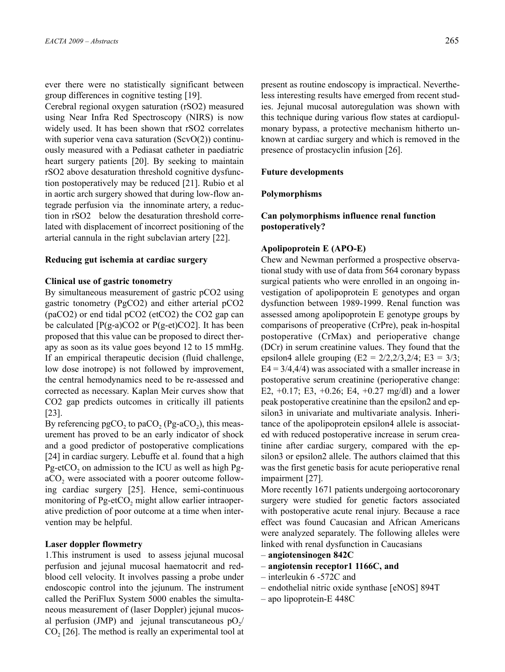ever there were no statistically significant between group differences in cognitive testing [19].

Cerebral regional oxygen saturation (rSO2) measured using Near Infra Red Spectroscopy (NIRS) is now widely used. It has been shown that rSO2 correlates with superior vena cava saturation  $(SevO(2))$  continuously measured with a Pediasat catheter in paediatric heart surgery patients [20]. By seeking to maintain rSO2 above desaturation threshold cognitive dysfunction postoperatively may be reduced [21]. Rubio et al in aortic arch surgery showed that during low-flow antegrade perfusion via the innominate artery, a reduction in rSO2 below the desaturation threshold correlated with displacement of incorrect positioning of the arterial cannula in the right subclavian artery [22].

#### **Reducing gut ischemia at cardiac surgery**

#### **Clinical use of gastric tonometry**

By simultaneous measurement of gastric pCO2 using gastric tonometry (PgCO2) and either arterial pCO2 (paCO2) or end tidal pCO2 (etCO2) the CO2 gap can be calculated  $[P(g-a)CO2 \text{ or } P(g-et)CO2]$ . It has been proposed that this value can be proposed to direct therapy as soon as its value goes beyond 12 to 15 mmHg. If an empirical therapeutic decision (fluid challenge, low dose inotrope) is not followed by improvement, the central hemodynamics need to be re-assessed and corrected as necessary. Kaplan Meir curves show that CO2 gap predicts outcomes in critically ill patients [23].

By referencing  $pgCO<sub>2</sub>$  to paCO<sub>2</sub> (Pg-aCO<sub>2</sub>), this measurement has proved to be an early indicator of shock and a good predictor of postoperative complications [24] in cardiac surgery. Lebuffe et al. found that a high Pg-etCO<sub>2</sub> on admission to the ICU as well as high PgaCO<sub>2</sub> were associated with a poorer outcome following cardiac surgery [25]. Hence, semi-continuous monitoring of Pg-etCO<sub>2</sub> might allow earlier intraoperative prediction of poor outcome at a time when intervention may be helpful.

#### **Laser doppler flowmetry**

1.This instrument is used to assess jejunal mucosal perfusion and jejunal mucosal haematocrit and redblood cell velocity. It involves passing a probe under endoscopic control into the jejunum. The instrument called the PeriFlux System 5000 enables the simultaneous measurement of (laser Doppler) jejunal mucosal perfusion (JMP) and jejunal transcutaneous  $pO<sub>2</sub>/$  $CO<sub>2</sub>$  [26]. The method is really an experimental tool at present as routine endoscopy is impractical. Nevertheless interesting results have emerged from recent studies. Jejunal mucosal autoregulation was shown with this technique during various flow states at cardiopulmonary bypass, a protective mechanism hitherto unknown at cardiac surgery and which is removed in the presence of prostacyclin infusion [26].

#### **Future developments**

#### **Polymorphisms**

## **Can polymorphisms influence renal function postoperatively?**

#### **Apolipoprotein E (APO-E)**

Chew and Newman performed a prospective observational study with use of data from 564 coronary bypass surgical patients who were enrolled in an ongoing investigation of apolipoprotein E genotypes and organ dysfunction between 1989-1999. Renal function was assessed among apolipoprotein E genotype groups by comparisons of preoperative (CrPre), peak in-hospital postoperative (CrMax) and perioperative change (DCr) in serum creatinine values. They found that the epsilon4 allele grouping  $(E2 = 2/2, 2/3, 2/4; E3 = 3/3;$  $E4 = 3/4, 4/4$ ) was associated with a smaller increase in postoperative serum creatinine (perioperative change: E2,  $+0.17$ ; E3,  $+0.26$ ; E4,  $+0.27$  mg/dl) and a lower peak postoperative creatinine than the epsilon2 and epsilon3 in univariate and multivariate analysis. Inheritance of the apolipoprotein epsilon4 allele is associated with reduced postoperative increase in serum creatinine after cardiac surgery, compared with the epsilon3 or epsilon2 allele. The authors claimed that this was the first genetic basis for acute perioperative renal impairment [27].

More recently 1671 patients undergoing aortocoronary surgery were studied for genetic factors associated with postoperative acute renal injury. Because a race effect was found Caucasian and African Americans were analyzed separately. The following alleles were linked with renal dysfunction in Caucasians

- **angiotensinogen 842C**
- **angiotensin receptor1 1166C, and**
- interleukin 6 -572C and
- endothelial nitric oxide synthase [eNOS] 894T
- apo lipoprotein-E 448C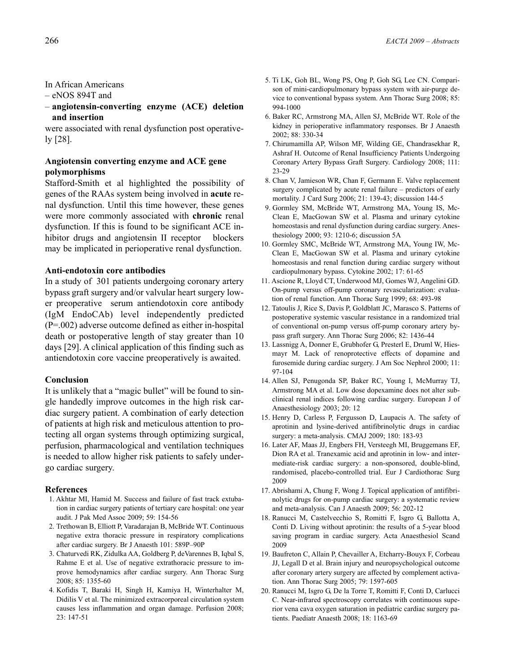In African Americans

– eNOS 894T and

– **angiotensin-converting enzyme (ACE) deletion and insertion**

were associated with renal dysfunction post operatively [28].

## **Angiotensin converting enzyme and ACE gene polymorphisms**

Stafford-Smith et al highlighted the possibility of genes of the RAAs system being involved in **acute** renal dysfunction. Until this time however, these genes were more commonly associated with **chronic** renal dysfunction. If this is found to be significant ACE inhibitor drugs and angiotensin II receptor blockers may be implicated in perioperative renal dysfunction.

### **Anti-endotoxin core antibodies**

In a study of 301 patients undergoing coronary artery bypass graft surgery and/or valvular heart surgery lower preoperative serum antiendotoxin core antibody (IgM EndoCAb) level independently predicted (P=.002) adverse outcome defined as either in-hospital death or postoperative length of stay greater than 10 days [29]. A clinical application of this finding such as antiendotoxin core vaccine preoperatively is awaited.

## **Conclusion**

It is unlikely that a "magic bullet" will be found to single handedly improve outcomes in the high risk cardiac surgery patient. A combination of early detection of patients at high risk and meticulous attention to protecting all organ systems through optimizing surgical, perfusion, pharmacological and ventilation techniques is needed to allow higher risk patients to safely undergo cardiac surgery.

- 1. Akhtar MI, Hamid M. Success and failure of fast track extubation in cardiac surgery patients of tertiary care hospital: one year audit. J Pak Med Assoc 2009; 59: 154-56
- 2. Trethowan B, Elliott P, Varadarajan B, McBride WT. Continuous negative extra thoracic pressure in respiratory complications after cardiac surgery. Br J Anaesth 101: 589P–90P
- 3. Chaturvedi RK, Zidulka AA, Goldberg P, deVarennes B, Iqbal S, Rahme E et al. Use of negative extrathoracic pressure to improve hemodynamics after cardiac surgery. Ann Thorac Surg 2008; 85: 1355-60
- 4. Kofidis T, Baraki H, Singh H, Kamiya H, Winterhalter M, Didilis V et al. The minimized extracorporeal circulation system causes less inflammation and organ damage. Perfusion 2008; 23: 147-51
- 5. Ti LK, Goh BL, Wong PS, Ong P, Goh SG, Lee CN. Comparison of mini-cardiopulmonary bypass system with air-purge device to conventional bypass system. Ann Thorac Surg 2008; 85: 994-1000
- 6. Baker RC, Armstrong MA, Allen SJ, McBride WT. Role of the kidney in perioperative inflammatory responses. Br J Anaesth 2002; 88: 330-34
- 7. Chirumamilla AP, Wilson MF, Wilding GE, Chandrasekhar R, Ashraf H. Outcome of Renal Insufficiency Patients Undergoing Coronary Artery Bypass Graft Surgery. Cardiology 2008; 111: 23-29
- 8. Chan V, Jamieson WR, Chan F, Germann E. Valve replacement surgery complicated by acute renal failure – predictors of early mortality. J Card Surg 2006; 21: 139-43; discussion 144-5
- 9. Gormley SM, McBride WT, Armstrong MA, Young IS, Mc-Clean E, MacGowan SW et al. Plasma and urinary cytokine homeostasis and renal dysfunction during cardiac surgery. Anesthesiology 2000; 93: 1210-6; discussion 5A
- 10. Gormley SMC, McBride WT, Armstrong MA, Young IW, Mc-Clean E, MacGowan SW et al. Plasma and urinary cytokine homeostasis and renal function during cardiac surgery without cardiopulmonary bypass. Cytokine 2002; 17: 61-65
- 11. Ascione R, Lloyd CT, Underwood MJ, Gomes WJ, Angelini GD. On-pump versus off-pump coronary revascularization: evaluation of renal function. Ann Thorac Surg 1999; 68: 493-98
- 12. Tatoulis J, Rice S, Davis P, Goldblatt JC, Marasco S. Patterns of postoperative systemic vascular resistance in a randomized trial of conventional on-pump versus off-pump coronary artery bypass graft surgery. Ann Thorac Surg 2006; 82: 1436-44
- 13. Lassnigg A, Donner E, Grubhofer G, Presterl E, Druml W, Hiesmayr M. Lack of renoprotective effects of dopamine and furosemide during cardiac surgery. J Am Soc Nephrol 2000; 11: 97-104
- 14. Allen SJ, Penugonda SP, Baker RC, Young I, McMurray TJ, Armstrong MA et al. Low dose dopexamine does not alter subclinical renal indices following cardiac surgery. European J of Anaesthesiology 2003; 20: 12
- 15. Henry D, Carless P, Fergusson D, Laupacis A. The safety of aprotinin and lysine-derived antifibrinolytic drugs in cardiac surgery: a meta-analysis. CMAJ 2009; 180: 183-93
- 16. Later AF, Maas JJ, Engbers FH, Versteegh MI, Bruggemans EF, Dion RA et al. Tranexamic acid and aprotinin in low- and intermediate-risk cardiac surgery: a non-sponsored, double-blind, randomised, placebo-controlled trial. Eur J Cardiothorac Surg 2009
- 17. Abrishami A, Chung F, Wong J. Topical application of antifibrinolytic drugs for on-pump cardiac surgery: a systematic review and meta-analysis. Can J Anaesth 2009; 56: 202-12
- 18. Ranucci M, Castelvecchio S, Romitti F, Isgro G, Ballotta A, Conti D. Living without aprotinin: the results of a 5-year blood saving program in cardiac surgery. Acta Anaesthesiol Scand 2009
- 19. Baufreton C, Allain P, Chevailler A, Etcharry-Bouyx F, Corbeau JJ, Legall D et al. Brain injury and neuropsychological outcome after coronary artery surgery are affected by complement activation. Ann Thorac Surg 2005; 79: 1597-605
- 20. Ranucci M, Isgro G, De la Torre T, Romitti F, Conti D, Carlucci C. Near-infrared spectroscopy correlates with continuous superior vena cava oxygen saturation in pediatric cardiac surgery patients. Paediatr Anaesth 2008; 18: 1163-69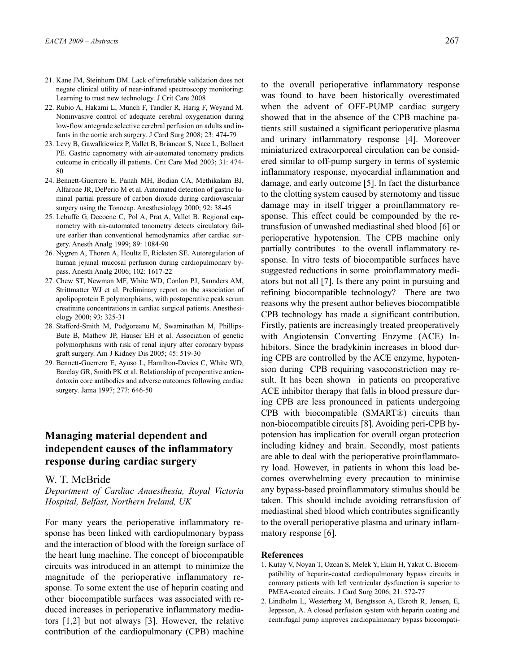- 21. Kane JM, Steinhorn DM. Lack of irrefutable validation does not negate clinical utility of near-infrared spectroscopy monitoring: Learning to trust new technology. J Crit Care 2008
- 22. Rubio A, Hakami L, Munch F, Tandler R, Harig F, Weyand M. Noninvasive control of adequate cerebral oxygenation during low-flow antegrade selective cerebral perfusion on adults and infants in the aortic arch surgery. J Card Surg 2008; 23: 474-79
- 23. Levy B, Gawalkiewicz P, Vallet B, Briancon S, Nace L, Bollaert PE. Gastric capnometry with air-automated tonometry predicts outcome in critically ill patients. Crit Care Med 2003; 31: 474- 80
- 24. Bennett-Guerrero E, Panah MH, Bodian CA, Methikalam BJ, Alfarone JR, DePerio M et al. Automated detection of gastric luminal partial pressure of carbon dioxide during cardiovascular surgery using the Tonocap. Anesthesiology 2000; 92: 38-45
- 25. Lebuffe G, Decoene C, Pol A, Prat A, Vallet B. Regional capnometry with air-automated tonometry detects circulatory failure earlier than conventional hemodynamics after cardiac surgery. Anesth Analg 1999; 89: 1084-90
- 26. Nygren A, Thoren A, Houltz E, Ricksten SE. Autoregulation of human jejunal mucosal perfusion during cardiopulmonary bypass. Anesth Analg 2006; 102: 1617-22
- 27. Chew ST, Newman MF, White WD, Conlon PJ, Saunders AM, Strittmatter WJ et al. Preliminary report on the association of apolipoprotein E polymorphisms, with postoperative peak serum creatinine concentrations in cardiac surgical patients. Anesthesiology 2000; 93: 325-31
- 28. Stafford-Smith M, Podgoreanu M, Swaminathan M, Phillips-Bute B, Mathew JP, Hauser EH et al. Association of genetic polymorphisms with risk of renal injury after coronary bypass graft surgery. Am J Kidney Dis 2005; 45: 519-30
- 29. Bennett-Guerrero E, Ayuso L, Hamilton-Davies C, White WD, Barclay GR, Smith PK et al. Relationship of preoperative antiendotoxin core antibodies and adverse outcomes following cardiac surgery. Jama 1997; 277: 646-50

## **Managing material dependent and independent causes of the inflammatory response during cardiac surgery**

## W. T. McBride

*Department of Cardiac Anaesthesia, Royal Victoria Hospital, Belfast, Northern Ireland, UK*

For many years the perioperative inflammatory response has been linked with cardiopulmonary bypass and the interaction of blood with the foreign surface of the heart lung machine. The concept of biocompatible circuits was introduced in an attempt to minimize the magnitude of the perioperative inflammatory response. To some extent the use of heparin coating and other biocompatible surfaces was associated with reduced increases in perioperative inflammatory mediators [1,2] but not always [3]. However, the relative contribution of the cardiopulmonary (CPB) machine

to the overall perioperative inflammatory response was found to have been historically overestimated when the advent of OFF-PUMP cardiac surgery showed that in the absence of the CPB machine patients still sustained a significant perioperative plasma and urinary inflammatory response [4]. Moreover miniaturized extracorporeal circulation can be considered similar to off-pump surgery in terms of systemic inflammatory response, myocardial inflammation and damage, and early outcome [5]. In fact the disturbance to the clotting system caused by sternotomy and tissue damage may in itself trigger a proinflammatory response. This effect could be compounded by the retransfusion of unwashed mediastinal shed blood [6] or perioperative hypotension. The CPB machine only partially contributes to the overall inflammatory response. In vitro tests of biocompatible surfaces have suggested reductions in some proinflammatory mediators but not all [7]. Is there any point in pursuing and refining biocompatible technology? There are two reasons why the present author believes biocompatible CPB technology has made a significant contribution. Firstly, patients are increasingly treated preoperatively with Angiotensin Converting Enzyme (ACE) Inhibitors. Since the bradykinin increases in blood during CPB are controlled by the ACE enzyme, hypotension during CPB requiring vasoconstriction may result. It has been shown in patients on preoperative ACE inhibitor therapy that falls in blood pressure during CPB are less pronounced in patients undergoing CPB with biocompatible (SMART®) circuits than non-biocompatible circuits [8]. Avoiding peri-CPB hypotension has implication for overall organ protection including kidney and brain. Secondly, most patients are able to deal with the perioperative proinflammatory load. However, in patients in whom this load becomes overwhelming every precaution to minimise any bypass-based proinflammatory stimulus should be taken. This should include avoiding retransfusion of mediastinal shed blood which contributes significantly to the overall perioperative plasma and urinary inflammatory response [6].

- 1. Kutay V, Noyan T, Ozcan S, Melek Y, Ekim H, Yakut C. Biocompatibility of heparin-coated cardiopulmonary bypass circuits in coronary patients with left ventricular dysfunction is superior to PMEA-coated circuits. J Card Surg 2006; 21: 572-77
- 2. Lindholm L, Westerberg M, Bengtsson A, Ekroth R, Jensen, E, Jeppsson, A. A closed perfusion system with heparin coating and centrifugal pump improves cardiopulmonary bypass biocompati-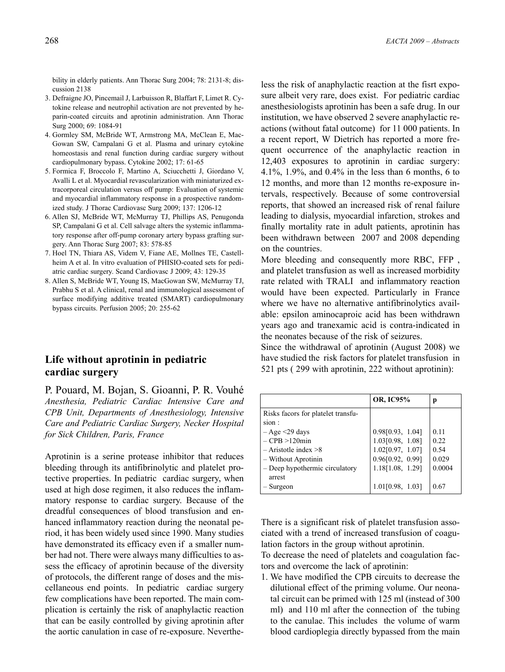bility in elderly patients. Ann Thorac Surg 2004; 78: 2131-8; discussion 2138

- 3. Defraigne JO, Pincemail J, Larbuisson R, Blaffart F, Limet R. Cytokine release and neutrophil activation are not prevented by heparin-coated circuits and aprotinin administration. Ann Thorac Surg 2000; 69: 1084-91
- 4. Gormley SM, McBride WT, Armstrong MA, McClean E, Mac-Gowan SW, Campalani G et al. Plasma and urinary cytokine homeostasis and renal function during cardiac surgery without cardiopulmonary bypass. Cytokine 2002; 17: 61-65
- 5. Formica F, Broccolo F, Martino A, Sciucchetti J, Giordano V, Avalli L et al. Myocardial revascularization with miniaturized extracorporeal circulation versus off pump: Evaluation of systemic and myocardial inflammatory response in a prospective randomized study. J Thorac Cardiovasc Surg 2009; 137: 1206-12
- 6. Allen SJ, McBride WT, McMurray TJ, Phillips AS, Penugonda SP, Campalani G et al. Cell salvage alters the systemic inflammatory response after off-pump coronary artery bypass grafting surgery. Ann Thorac Surg 2007; 83: 578-85
- 7. Hoel TN, Thiara AS, Videm V, Fiane AE, Mollnes TE, Castellheim A et al. In vitro evaluation of PHISIO-coated sets for pediatric cardiac surgery. Scand Cardiovasc J 2009; 43: 129-35
- 8. Allen S, McBride WT, Young IS, MacGowan SW, McMurray TJ, Prabhu S et al. A clinical, renal and immunological assessment of surface modifying additive treated (SMART) cardiopulmonary bypass circuits. Perfusion 2005; 20: 255-62

## **Life without aprotinin in pediatric cardiac surgery**

P. Pouard, M. Bojan, S. Gioanni, P. R. Vouhé *Anesthesia, Pediatric Cardiac Intensive Care and CPB Unit, Departments of Anesthesiology, Intensive Care and Pediatric Cardiac Surgery, Necker Hospital for Sick Children, Paris, France*

Aprotinin is a serine protease inhibitor that reduces bleeding through its antifibrinolytic and platelet protective properties. In pediatric cardiac surgery, when used at high dose regimen, it also reduces the inflammatory response to cardiac surgery. Because of the dreadful consequences of blood transfusion and enhanced inflammatory reaction during the neonatal period, it has been widely used since 1990. Many studies have demonstrated its efficacy even if a smaller number had not. There were always many difficulties to assess the efficacy of aprotinin because of the diversity of protocols, the different range of doses and the miscellaneous end points. In pediatric cardiac surgery few complications have been reported. The main complication is certainly the risk of anaphylactic reaction that can be easily controlled by giving aprotinin after the aortic canulation in case of re-exposure. Nevertheless the risk of anaphylactic reaction at the fisrt exposure albeit very rare, does exist. For pediatric cardiac anesthesiologists aprotinin has been a safe drug. In our institution, we have observed 2 severe anaphylactic reactions (without fatal outcome) for 11 000 patients. In a recent report, W Dietrich has reported a more frequent occurrence of the anaphylactic reaction in 12,403 exposures to aprotinin in cardiac surgery: 4.1%, 1.9%, and 0.4% in the less than 6 months, 6 to 12 months, and more than 12 months re-exposure intervals, respectively. Because of some controversial reports, that showed an increased risk of renal failure leading to dialysis, myocardial infarction, strokes and finally mortality rate in adult patients, aprotinin has been withdrawn between 2007 and 2008 depending on the countries.

More bleeding and consequently more RBC, FFP , and platelet transfusion as well as increased morbidity rate related with TRALI and inflammatory reaction would have been expected. Particularly in France where we have no alternative antifibrinolytics available: epsilon aminocaproic acid has been withdrawn years ago and tranexamic acid is contra-indicated in the neonates because of the risk of seizures.

Since the withdrawal of aprotinin (August 2008) we have studied the risk factors for platelet transfusion in 521 pts ( 299 with aprotinin, 222 without aprotinin):

|                                                                                               | <b>OR, IC95%</b>                                                             |                               |
|-----------------------------------------------------------------------------------------------|------------------------------------------------------------------------------|-------------------------------|
| Risks facors for platelet transfu-<br>sion:                                                   |                                                                              |                               |
| $-A$ ge $\leq$ 29 days<br>$-CPB > 120$ min<br>$-$ Aristotle index $>8$<br>- Without Aprotinin | 0.98[0.93, 1.04]<br>1.03[0.98, 1.08]<br>1.02[0.97, 1.07]<br>0.96[0.92, 0.99] | 0.11<br>0.22<br>0.54<br>0.029 |
| - Deep hypothermic circulatory<br>arrest<br>– Surgeon                                         | 1.18[1.08, 1.29]<br>1.01[0.98, 1.03]                                         | 0.0004<br>0.67                |

There is a significant risk of platelet transfusion associated with a trend of increased transfusion of coagulation factors in the group without aprotinin.

To decrease the need of platelets and coagulation factors and overcome the lack of aprotinin:

1. We have modified the CPB circuits to decrease the dilutional effect of the priming volume. Our neonatal circuit can be primed with 125 ml (instead of 300 ml) and 110 ml after the connection of the tubing to the canulae. This includes the volume of warm blood cardioplegia directly bypassed from the main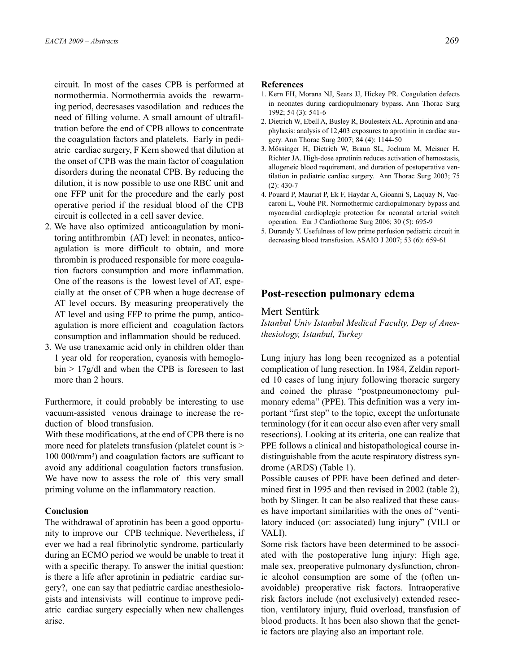circuit. In most of the cases CPB is performed at normothermia. Normothermia avoids the rewarming period, decresases vasodilation and reduces the need of filling volume. A small amount of ultrafiltration before the end of CPB allows to concentrate the coagulation factors and platelets. Early in pediatric cardiac surgery, F Kern showed that dilution at the onset of CPB was the main factor of coagulation disorders during the neonatal CPB. By reducing the dilution, it is now possible to use one RBC unit and one FFP unit for the procedure and the early post operative period if the residual blood of the CPB circuit is collected in a cell saver device.

- 2. We have also optimized anticoagulation by monitoring antithrombin (AT) level: in neonates, anticoagulation is more difficult to obtain, and more thrombin is produced responsible for more coagulation factors consumption and more inflammation. One of the reasons is the lowest level of AT, especially at the onset of CPB when a huge decrease of AT level occurs. By measuring preoperatively the AT level and using FFP to prime the pump, anticoagulation is more efficient and coagulation factors consumption and inflammation should be reduced.
- 3. We use tranexamic acid only in children older than 1 year old for reoperation, cyanosis with hemoglo $bin > 17g/dl$  and when the CPB is foreseen to last more than 2 hours.

Furthermore, it could probably be interesting to use vacuum-assisted venous drainage to increase the reduction of blood transfusion.

With these modifications, at the end of CPB there is no more need for platelets transfusion (platelet count is  $>$ 100 000/mm3 ) and coagulation factors are sufficant to avoid any additional coagulation factors transfusion. We have now to assess the role of this very small priming volume on the inflammatory reaction.

## **Conclusion**

The withdrawal of aprotinin has been a good opportunity to improve our CPB technique. Nevertheless, if ever we had a real fibrinolytic syndrome, particularly during an ECMO period we would be unable to treat it with a specific therapy. To answer the initial question: is there a life after aprotinin in pediatric cardiac surgery?, one can say that pediatric cardiac anesthesiologists and intensivists will continue to improve pediatric cardiac surgery especially when new challenges arise.

#### **References**

- 1. Kern FH, Morana NJ, Sears JJ, Hickey PR. Coagulation defects in neonates during cardiopulmonary bypass. Ann Thorac Surg 1992; 54 (3): 541-6
- 2. Dietrich W, Ebell A, Busley R, Boulesteix AL. Aprotinin and anaphylaxis: analysis of 12,403 exposures to aprotinin in cardiac surgery. Ann Thorac Surg 2007; 84 (4): 1144-50
- 3. Mössinger H, Dietrich W, Braun SL, Jochum M, Meisner H, Richter JA. High-dose aprotinin reduces activation of hemostasis, allogeneic blood requirement, and duration of postoperative ventilation in pediatric cardiac surgery. Ann Thorac Surg 2003; 75 (2): 430-7
- 4. Pouard P, Mauriat P, Ek F, Haydar A, Gioanni S, Laquay N, Vaccaroni L, Vouhé PR. Normothermic cardiopulmonary bypass and myocardial cardioplegic protection for neonatal arterial switch operation. Eur J Cardiothorac Surg 2006; 30 (5): 695-9
- 5. Durandy Y. Usefulness of low prime perfusion pediatric circuit in decreasing blood transfusion. ASAIO J 2007; 53 (6): 659-61

## **Post-resection pulmonary edema**

## Mert Sentürk

*Istanbul Univ Istanbul Medical Faculty, Dep of Anesthesiology, Istanbul, Turkey*

Lung injury has long been recognized as a potential complication of lung resection. In 1984, Zeldin reported 10 cases of lung injury following thoracic surgery and coined the phrase "postpneumonectomy pulmonary edema" (PPE). This definition was a very important "first step" to the topic, except the unfortunate terminology (for it can occur also even after very small resections). Looking at its criteria, one can realize that PPE follows a clinical and histopathological course indistinguishable from the acute respiratory distress syndrome (ARDS) (Table 1).

Possible causes of PPE have been defined and determined first in 1995 and then revised in 2002 (table 2), both by Slinger. It can be also realized that these causes have important similarities with the ones of "ventilatory induced (or: associated) lung injury" (VILI or VALI).

Some risk factors have been determined to be associated with the postoperative lung injury: High age, male sex, preoperative pulmonary dysfunction, chronic alcohol consumption are some of the (often unavoidable) preoperative risk factors. Intraoperative risk factors include (not exclusively) extended resection, ventilatory injury, fluid overload, transfusion of blood products. It has been also shown that the genetic factors are playing also an important role.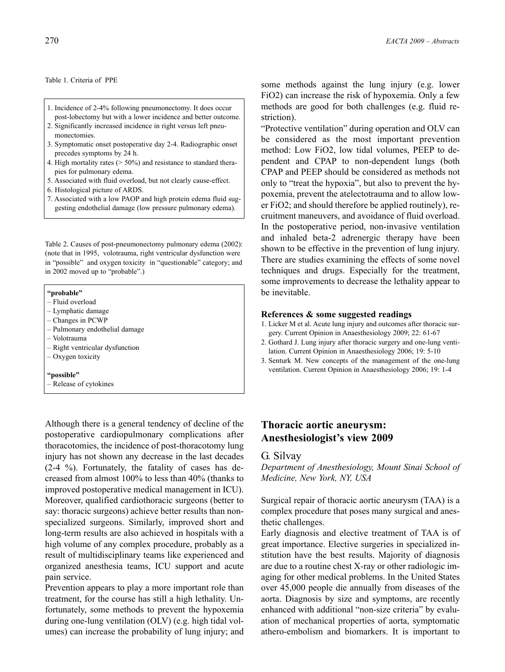Table 1. Criteria of PPE

- 1. Incidence of 2-4% following pneumonectomy. It does occur post-lobectomy but with a lower incidence and better outcome.
- 2. Significantly increased incidence in right versus left pneumonectomies.
- 3. Symptomatic onset postoperative day 2-4. Radiographic onset precedes symptoms by 24 h.
- 4. High mortality rates (> 50%) and resistance to standard therapies for pulmonary edema.
- 5. Associated with fluid overload, but not clearly cause-effect.
- 6. Histological picture of ARDS.
- 7. Associated with a low PAOP and high protein edema fluid suggesting endothelial damage (low pressure pulmonary edema).

Table 2. Causes of post-pneumonectomy pulmonary edema (2002): (note that in 1995, volotrauma, right ventricular dysfunction were in "possible" and oxygen toxicity in "questionable" category; and in 2002 moved up to "probable".)

#### **"probable"**

- Fluid overload
- Lymphatic damage
- Changes in PCWP
- Pulmonary endothelial damage
- Volotrauma
- Right ventricular dysfunction
- Oxygen toxicity

#### **"possible"**

– Release of cytokines

Although there is a general tendency of decline of the postoperative cardiopulmonary complications after thoracotomies, the incidence of post-thoracotomy lung injury has not shown any decrease in the last decades (2-4 %). Fortunately, the fatality of cases has decreased from almost 100% to less than 40% (thanks to improved postoperative medical management in ICU). Moreover, qualified cardiothoracic surgeons (better to say: thoracic surgeons) achieve better results than nonspecialized surgeons. Similarly, improved short and long-term results are also achieved in hospitals with a high volume of any complex procedure, probably as a result of multidisciplinary teams like experienced and organized anesthesia teams, ICU support and acute pain service.

Prevention appears to play a more important role than treatment, for the course has still a high lethality. Unfortunately, some methods to prevent the hypoxemia during one-lung ventilation (OLV) (e.g. high tidal volumes) can increase the probability of lung injury; and some methods against the lung injury (e.g. lower FiO2) can increase the risk of hypoxemia. Only a few methods are good for both challenges (e.g. fluid restriction).

"Protective ventilation" during operation and OLV can be considered as the most important prevention method: Low FiO2, low tidal volumes, PEEP to dependent and CPAP to non-dependent lungs (both CPAP and PEEP should be considered as methods not only to "treat the hypoxia", but also to prevent the hypoxemia, prevent the atelectotrauma and to allow lower FiO2; and should therefore be applied routinely), recruitment maneuvers, and avoidance of fluid overload. In the postoperative period, non-invasive ventilation and inhaled beta-2 adrenergic therapy have been shown to be effective in the prevention of lung injury. There are studies examining the effects of some novel techniques and drugs. Especially for the treatment, some improvements to decrease the lethality appear to be inevitable.

#### **References & some suggested readings**

- 1. Licker M et al. Acute lung injury and outcomes after thoracic surgery. Current Opinion in Anaesthesiology 2009; 22: 61-67
- 2. Gothard J. Lung injury after thoracic surgery and one-lung ventilation. Current Opinion in Anaesthesiology 2006; 19: 5-10
- 3. Senturk M. New concepts of the management of the one-lung ventilation. Current Opinion in Anaesthesiology 2006; 19: 1-4

## **Thoracic aortic aneurysm: Anesthesiologist's view 2009**

## G. Silvay

*Department of Anesthesiology, Mount Sinai School of Medicine, New York, NY, USA*

Surgical repair of thoracic aortic aneurysm (TAA) is a complex procedure that poses many surgical and anesthetic challenges.

Early diagnosis and elective treatment of TAA is of great importance. Elective surgeries in specialized institution have the best results. Majority of diagnosis are due to a routine chest X-ray or other radiologic imaging for other medical problems. In the United States over 45,000 people die annually from diseases of the aorta. Diagnosis by size and symptoms, are recently enhanced with additional "non-size criteria" by evaluation of mechanical properties of aorta, symptomatic athero-embolism and biomarkers. It is important to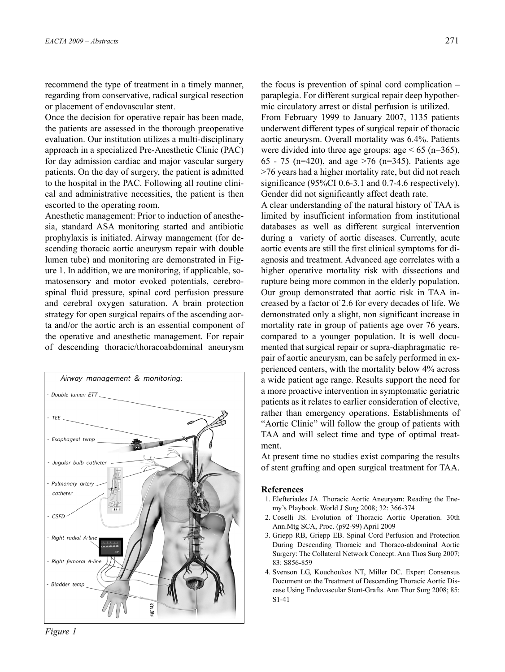recommend the type of treatment in a timely manner, regarding from conservative, radical surgical resection or placement of endovascular stent.

Once the decision for operative repair has been made, the patients are assessed in the thorough preoperative evaluation. Our institution utilizes a multi-disciplinary approach in a specialized Pre-Anesthetic Clinic (PAC) for day admission cardiac and major vascular surgery patients. On the day of surgery, the patient is admitted to the hospital in the PAC. Following all routine clinical and administrative necessities, the patient is then escorted to the operating room.

Anesthetic management: Prior to induction of anesthesia, standard ASA monitoring started and antibiotic prophylaxis is initiated. Airway management (for descending thoracic aortic aneurysm repair with double lumen tube) and monitoring are demonstrated in Figure 1. In addition, we are monitoring, if applicable, somatosensory and motor evoked potentials, cerebrospinal fluid pressure, spinal cord perfusion pressure and cerebral oxygen saturation. A brain protection strategy for open surgical repairs of the ascending aorta and/or the aortic arch is an essential component of the operative and anesthetic management. For repair of descending thoracic/thoracoabdominal aneurysm



the focus is prevention of spinal cord complication – paraplegia. For different surgical repair deep hypothermic circulatory arrest or distal perfusion is utilized.

From February 1999 to January 2007, 1135 patients underwent different types of surgical repair of thoracic aortic aneurysm. Overall mortality was 6.4%. Patients were divided into three age groups: age  $< 65$  (n=365), 65 - 75 (n=420), and age >76 (n=345). Patients age >76 years had a higher mortality rate, but did not reach significance (95%CI 0.6-3.1 and 0.7-4.6 respectively). Gender did not significantly affect death rate.

A clear understanding of the natural history of TAA is limited by insufficient information from institutional databases as well as different surgical intervention during a variety of aortic diseases. Currently, acute aortic events are still the first clinical symptoms for diagnosis and treatment. Advanced age correlates with a higher operative mortality risk with dissections and rupture being more common in the elderly population. Our group demonstrated that aortic risk in TAA increased by a factor of 2.6 for every decades of life. We demonstrated only a slight, non significant increase in mortality rate in group of patients age over 76 years, compared to a younger population. It is well documented that surgical repair or supra-diaphragmatic repair of aortic aneurysm, can be safely performed in experienced centers, with the mortality below 4% across a wide patient age range. Results support the need for a more proactive intervention in symptomatic geriatric patients as it relates to earlier consideration of elective, rather than emergency operations. Establishments of "Aortic Clinic" will follow the group of patients with TAA and will select time and type of optimal treatment.

At present time no studies exist comparing the results of stent grafting and open surgical treatment for TAA.

- 1. Elefteriades JA. Thoracic Aortic Aneurysm: Reading the Enemy's Playbook. World J Surg 2008; 32: 366-374
- 2. Coselli JS. Evolution of Thoracic Aortic Operation. 30th Ann.Mtg SCA, Proc. (p92-99) April 2009
- 3. Griepp RB, Griepp EB. Spinal Cord Perfusion and Protection During Descending Thoracic and Thoraco-abdominal Aortic Surgery: The Collateral Network Concept. Ann Thos Surg 2007; 83: S856-859
- 4. Svenson LG, Kouchoukos NT, Miller DC. Expert Consensus Document on the Treatment of Descending Thoracic Aortic Disease Using Endovascular Stent-Grafts. Ann Thor Surg 2008; 85: S1-41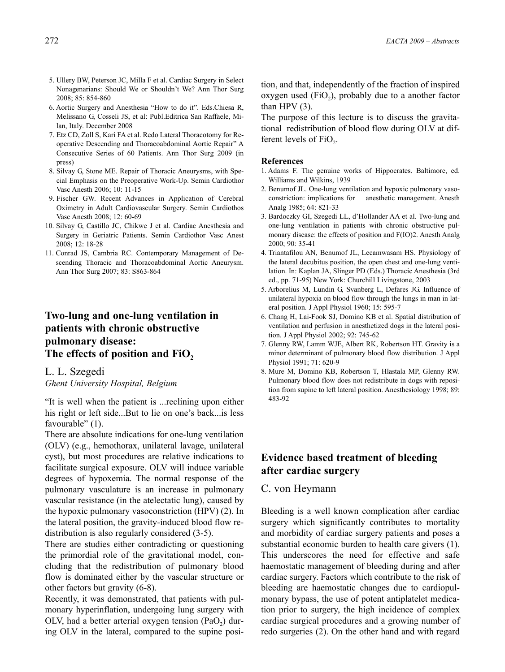- 5. Ullery BW, Peterson JC, Milla F et al. Cardiac Surgery in Select Nonagenarians: Should We or Shouldn't We? Ann Thor Surg 2008; 85: 854-860
- 6. Aortic Surgery and Anesthesia "How to do it". Eds.Chiesa R, Melissano G, Cosseli JS, et al: Publ.Editrica San Raffaele, Milan, Italy. December 2008
- 7. Etz CD, Zoll S, Kari FA et al. Redo Lateral Thoracotomy for Reoperative Descending and Thoracoabdominal Aortic Repair" A Consecutive Series of 60 Patients. Ann Thor Surg 2009 (in press)
- 8. Silvay G, Stone ME. Repair of Thoracic Aneurysms, with Special Emphasis on the Preoperative Work-Up. Semin Cardiothor Vasc Anesth 2006; 10: 11-15
- 9. Fischer GW. Recent Advances in Application of Cerebral Oximetry in Adult Cardiovascular Surgery. Semin Cardiothos Vasc Anesth 2008; 12: 60-69
- 10. Silvay G, Castillo JC, Chikwe J et al. Cardiac Anesthesia and Surgery in Geriatric Patients. Semin Cardiothor Vasc Anest 2008; 12: 18-28
- 11. Conrad JS, Cambria RC. Contemporary Management of Descending Thoracic and Thoracoabdominal Aortic Aneurysm. Ann Thor Surg 2007; 83: S863-864

## **Two-lung and one-lung ventilation in patients with chronic obstructive pulmonary disease:**  The effects of position and FiO<sub>2</sub>

# L. L. Szegedi

*Ghent University Hospital, Belgium*

"It is well when the patient is ...reclining upon either his right or left side...But to lie on one's back...is less favourable" (1).

There are absolute indications for one-lung ventilation (OLV) (e.g., hemothorax, unilateral lavage, unilateral cyst), but most procedures are relative indications to facilitate surgical exposure. OLV will induce variable degrees of hypoxemia. The normal response of the pulmonary vasculature is an increase in pulmonary vascular resistance (in the atelectatic lung), caused by the hypoxic pulmonary vasoconstriction (HPV) (2). In the lateral position, the gravity-induced blood flow redistribution is also regularly considered (3-5).

There are studies either contradicting or questioning the primordial role of the gravitational model, concluding that the redistribution of pulmonary blood flow is dominated either by the vascular structure or other factors but gravity (6-8).

Recently, it was demonstrated, that patients with pulmonary hyperinflation, undergoing lung surgery with OLV, had a better arterial oxygen tension  $(PaO<sub>2</sub>)$  during OLV in the lateral, compared to the supine position, and that, independently of the fraction of inspired oxygen used  $(FiO<sub>2</sub>)$ , probably due to a another factor than HPV  $(3)$ .

The purpose of this lecture is to discuss the gravitational redistribution of blood flow during OLV at different levels of  $FiO<sub>2</sub>$ .

#### **References**

- 1. Adams F. The genuine works of Hippocrates. Baltimore, ed. Williams and Wilkins, 1939
- 2. Benumof JL. One-lung ventilation and hypoxic pulmonary vasoconstriction: implications for anesthetic management. Anesth Analg 1985; 64: 821-33
- 3. Bardoczky GI, Szegedi LL, d'Hollander AA et al. Two-lung and one-lung ventilation in patients with chronic obstructive pulmonary disease: the effects of position and F(IO)2. Anesth Analg 2000; 90: 35-41
- 4. Triantafilou AN, Benumof JL, Lecamwasam HS. Physiology of the lateral decubitus position, the open chest and one-lung ventilation. In: Kaplan JA, Slinger PD (Eds.) Thoracic Anesthesia (3rd ed., pp. 71-95) New York: Churchill Livingstone, 2003
- 5. Arborelius M, Lundin G, Svanberg L, Defares JG. Influence of unilateral hypoxia on blood flow through the lungs in man in lateral position. J Appl Physiol 1960; 15: 595-7
- 6. Chang H, Lai-Fook SJ, Domino KB et al. Spatial distribution of ventilation and perfusion in anesthetized dogs in the lateral position. J Appl Physiol 2002; 92: 745-62
- 7. Glenny RW, Lamm WJE, Albert RK, Robertson HT. Gravity is a minor determinant of pulmonary blood flow distribution. J Appl Physiol 1991; 71: 620-9
- 8. Mure M, Domino KB, Robertson T, Hlastala MP, Glenny RW. Pulmonary blood flow does not redistribute in dogs with reposition from supine to left lateral position. Anesthesiology 1998; 89: 483-92

## **Evidence based treatment of bleeding after cardiac surgery**

## C. von Heymann

Bleeding is a well known complication after cardiac surgery which significantly contributes to mortality and morbidity of cardiac surgery patients and poses a substantial economic burden to health care givers (1). This underscores the need for effective and safe haemostatic management of bleeding during and after cardiac surgery. Factors which contribute to the risk of bleeding are haemostatic changes due to cardiopulmonary bypass, the use of potent antiplatelet medication prior to surgery, the high incidence of complex cardiac surgical procedures and a growing number of redo surgeries (2). On the other hand and with regard